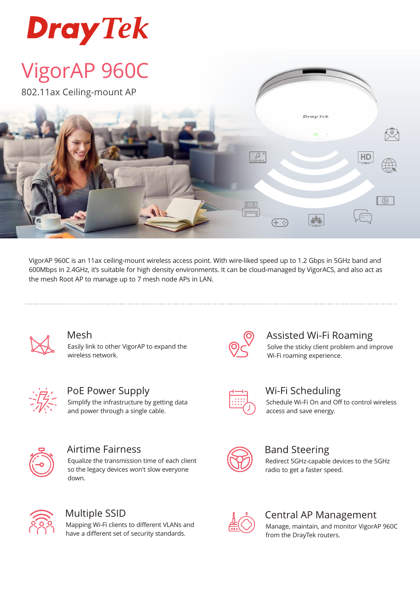

# VigorAP 960C

802.11ax Ceiling-mount AP



VigorAP 960C is an 11ax ceiling-mount wireless access point. With wire-liked speed up to 1.2 Gbps in 5GHz band and 600Mbps in 2.4GHz, it's suitable for high density environments. It can be cloud-managed by VigorACS, and also act as the mesh Root AP to manage up to 7 mesh node APs in LAN.



### Mesh

Easily link to other VigorAP to expand the wireless network.



PoE Power Supply Simplify the infrastructure by getting data and power through a single cable.



## Airtime Fairness

Equalize the transmission time of each client so the legacy devices won't slow everyone down.



## Multiple SSID

Mapping Wi-Fi clients to different VLANs and have a different set of security standards.



## Assisted Wi-Fi Roaming

Solve the sticky client problem and improve Wi-Fi roaming experience.



## Wi-Fi Scheduling

Schedule Wi-Fi On and Off to control wireless access and save energy.



## Band Steering

Redirect 5GHz-capable devices to the 5GHz radio to get a faster speed.



## Central AP Management

Manage, maintain, and monitor VigorAP 960C from the DrayTek routers.